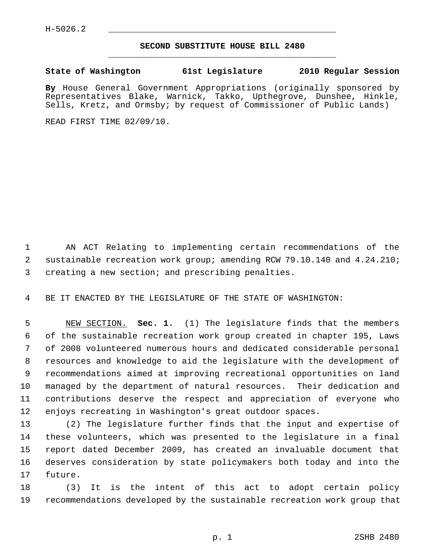## **SECOND SUBSTITUTE HOUSE BILL 2480** \_\_\_\_\_\_\_\_\_\_\_\_\_\_\_\_\_\_\_\_\_\_\_\_\_\_\_\_\_\_\_\_\_\_\_\_\_\_\_\_\_\_\_\_\_

## **State of Washington 61st Legislature 2010 Regular Session**

**By** House General Government Appropriations (originally sponsored by Representatives Blake, Warnick, Takko, Upthegrove, Dunshee, Hinkle, Sells, Kretz, and Ormsby; by request of Commissioner of Public Lands)

READ FIRST TIME 02/09/10.

 1 AN ACT Relating to implementing certain recommendations of the 2 sustainable recreation work group; amending RCW 79.10.140 and 4.24.210; 3 creating a new section; and prescribing penalties.

4 BE IT ENACTED BY THE LEGISLATURE OF THE STATE OF WASHINGTON:

 5 NEW SECTION. **Sec. 1.** (1) The legislature finds that the members 6 of the sustainable recreation work group created in chapter 195, Laws 7 of 2008 volunteered numerous hours and dedicated considerable personal 8 resources and knowledge to aid the legislature with the development of 9 recommendations aimed at improving recreational opportunities on land 10 managed by the department of natural resources. Their dedication and 11 contributions deserve the respect and appreciation of everyone who 12 enjoys recreating in Washington's great outdoor spaces.

13 (2) The legislature further finds that the input and expertise of 14 these volunteers, which was presented to the legislature in a final 15 report dated December 2009, has created an invaluable document that 16 deserves consideration by state policymakers both today and into the 17 future.

18 (3) It is the intent of this act to adopt certain policy 19 recommendations developed by the sustainable recreation work group that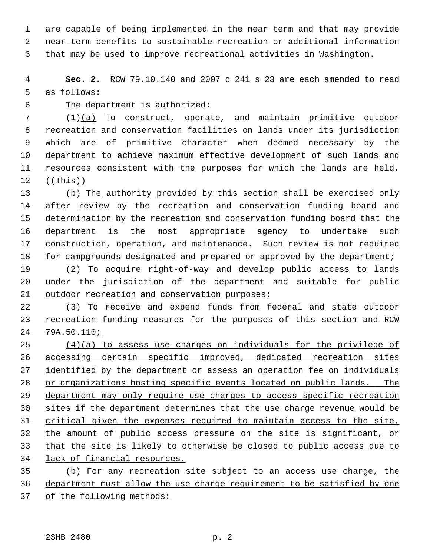1 are capable of being implemented in the near term and that may provide 2 near-term benefits to sustainable recreation or additional information 3 that may be used to improve recreational activities in Washington.

 4 **Sec. 2.** RCW 79.10.140 and 2007 c 241 s 23 are each amended to read 5 as follows:

6 The department is authorized:

 7 (1)(a) To construct, operate, and maintain primitive outdoor 8 recreation and conservation facilities on lands under its jurisdiction 9 which are of primitive character when deemed necessary by the 10 department to achieve maximum effective development of such lands and 11 resources consistent with the purposes for which the lands are held.  $12$  ((This))

13 (b) The authority provided by this section shall be exercised only 14 after review by the recreation and conservation funding board and 15 determination by the recreation and conservation funding board that the 16 department is the most appropriate agency to undertake such 17 construction, operation, and maintenance. Such review is not required 18 for campgrounds designated and prepared or approved by the department;

19 (2) To acquire right-of-way and develop public access to lands 20 under the jurisdiction of the department and suitable for public 21 outdoor recreation and conservation purposes;

22 (3) To receive and expend funds from federal and state outdoor 23 recreation funding measures for the purposes of this section and RCW 24 79A.50.110;

 (4)(a) To assess use charges on individuals for the privilege of accessing certain specific improved, dedicated recreation sites identified by the department or assess an operation fee on individuals or organizations hosting specific events located on public lands. The department may only require use charges to access specific recreation sites if the department determines that the use charge revenue would be critical given the expenses required to maintain access to the site, the amount of public access pressure on the site is significant, or that the site is likely to otherwise be closed to public access due to lack of financial resources. (b) For any recreation site subject to an access use charge, the

36 department must allow the use charge requirement to be satisfied by one 37 of the following methods: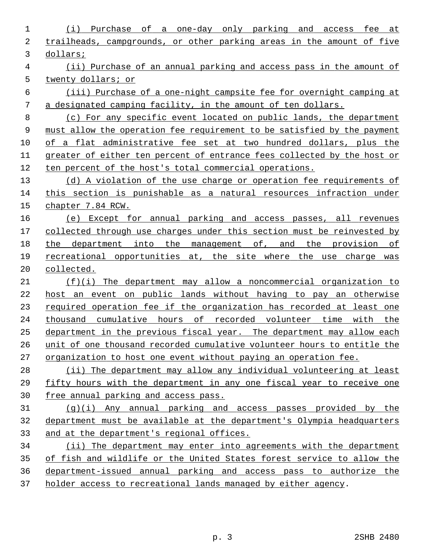(i) Purchase of a one-day only parking and access fee at trailheads, campgrounds, or other parking areas in the amount of five dollars; (ii) Purchase of an annual parking and access pass in the amount of twenty dollars; or (iii) Purchase of a one-night campsite fee for overnight camping at a designated camping facility, in the amount of ten dollars. (c) For any specific event located on public lands, the department must allow the operation fee requirement to be satisfied by the payment of a flat administrative fee set at two hundred dollars, plus the greater of either ten percent of entrance fees collected by the host or ten percent of the host's total commercial operations. (d) A violation of the use charge or operation fee requirements of this section is punishable as a natural resources infraction under chapter 7.84 RCW. (e) Except for annual parking and access passes, all revenues collected through use charges under this section must be reinvested by the department into the management of, and the provision of recreational opportunities at, the site where the use charge was collected. (f)(i) The department may allow a noncommercial organization to host an event on public lands without having to pay an otherwise required operation fee if the organization has recorded at least one thousand cumulative hours of recorded volunteer time with the department in the previous fiscal year. The department may allow each unit of one thousand recorded cumulative volunteer hours to entitle the organization to host one event without paying an operation fee. (ii) The department may allow any individual volunteering at least fifty hours with the department in any one fiscal year to receive one free annual parking and access pass. (g)(i) Any annual parking and access passes provided by the department must be available at the department's Olympia headquarters and at the department's regional offices. (ii) The department may enter into agreements with the department of fish and wildlife or the United States forest service to allow the department-issued annual parking and access pass to authorize the holder access to recreational lands managed by either agency.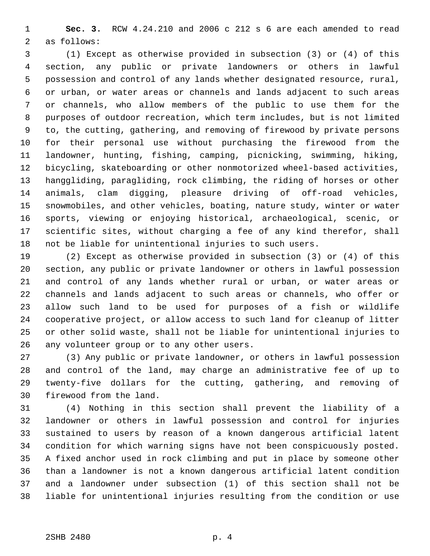1 **Sec. 3.** RCW 4.24.210 and 2006 c 212 s 6 are each amended to read 2 as follows:

 3 (1) Except as otherwise provided in subsection (3) or (4) of this 4 section, any public or private landowners or others in lawful 5 possession and control of any lands whether designated resource, rural, 6 or urban, or water areas or channels and lands adjacent to such areas 7 or channels, who allow members of the public to use them for the 8 purposes of outdoor recreation, which term includes, but is not limited 9 to, the cutting, gathering, and removing of firewood by private persons 10 for their personal use without purchasing the firewood from the 11 landowner, hunting, fishing, camping, picnicking, swimming, hiking, 12 bicycling, skateboarding or other nonmotorized wheel-based activities, 13 hanggliding, paragliding, rock climbing, the riding of horses or other 14 animals, clam digging, pleasure driving of off-road vehicles, 15 snowmobiles, and other vehicles, boating, nature study, winter or water 16 sports, viewing or enjoying historical, archaeological, scenic, or 17 scientific sites, without charging a fee of any kind therefor, shall 18 not be liable for unintentional injuries to such users.

19 (2) Except as otherwise provided in subsection (3) or (4) of this 20 section, any public or private landowner or others in lawful possession 21 and control of any lands whether rural or urban, or water areas or 22 channels and lands adjacent to such areas or channels, who offer or 23 allow such land to be used for purposes of a fish or wildlife 24 cooperative project, or allow access to such land for cleanup of litter 25 or other solid waste, shall not be liable for unintentional injuries to 26 any volunteer group or to any other users.

27 (3) Any public or private landowner, or others in lawful possession 28 and control of the land, may charge an administrative fee of up to 29 twenty-five dollars for the cutting, gathering, and removing of 30 firewood from the land.

31 (4) Nothing in this section shall prevent the liability of a 32 landowner or others in lawful possession and control for injuries 33 sustained to users by reason of a known dangerous artificial latent 34 condition for which warning signs have not been conspicuously posted. 35 A fixed anchor used in rock climbing and put in place by someone other 36 than a landowner is not a known dangerous artificial latent condition 37 and a landowner under subsection (1) of this section shall not be 38 liable for unintentional injuries resulting from the condition or use